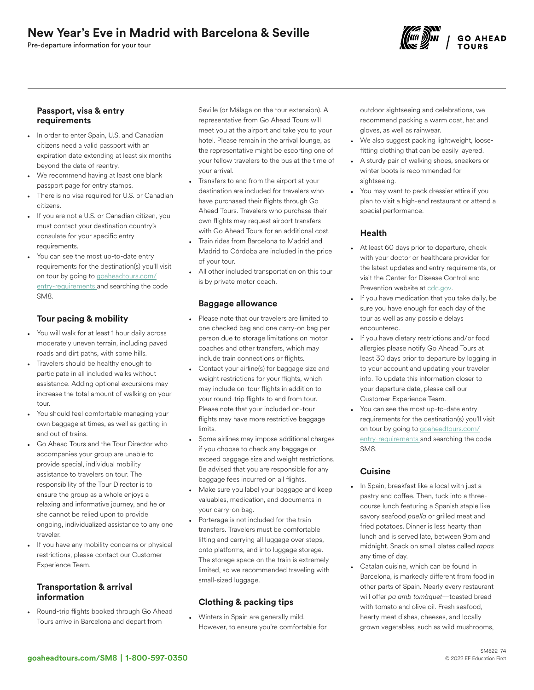# New Year's Eve in Madrid with Barcelona & Seville

Pre-departure information for your tour



#### Passport, visa & entry requirements

- In order to enter Spain, U.S. and Canadian citizens need a valid passport with an expiration date extending at least six months beyond the date of reentry.
- We recommend having at least one blank passport page for entry stamps.
- There is no visa required for U.S. or Canadian citizens.
- If you are not a U.S. or Canadian citizen, you must contact your destination country's consulate for your specific entry requirements.
- You can see the most up-to-date entry requirements for the destination(s) you'll visit on tour by going to [goaheadtours.com/](/entry-requirements?tourCode=SM8) [entry-requirements](/entry-requirements?tourCode=SM8) and searching the code SM8.

## Tour pacing & mobility

- You will walk for at least 1 hour daily across moderately uneven terrain, including paved roads and dirt paths, with some hills.
- Travelers should be healthy enough to participate in all included walks without assistance. Adding optional excursions may increase the total amount of walking on your tour.
- You should feel comfortable managing your own baggage at times, as well as getting in and out of trains.
- Go Ahead Tours and the Tour Director who accompanies your group are unable to provide special, individual mobility assistance to travelers on tour. The responsibility of the Tour Director is to ensure the group as a whole enjoys a relaxing and informative journey, and he or she cannot be relied upon to provide ongoing, individualized assistance to any one traveler.
- If you have any mobility concerns or physical restrictions, please contact our Customer Experience Team.

### Transportation & arrival information

• Round-trip flights booked through Go Ahead Tours arrive in Barcelona and depart from

Seville (or Málaga on the tour extension). A representative from Go Ahead Tours will meet you at the airport and take you to your hotel. Please remain in the arrival lounge, as the representative might be escorting one of your fellow travelers to the bus at the time of your arrival.

- Transfers to and from the airport at your destination are included for travelers who have purchased their flights through Go Ahead Tours. Travelers who purchase their own flights may request airport transfers with Go Ahead Tours for an additional cost.
- Train rides from Barcelona to Madrid and Madrid to Córdoba are included in the price of your tour.
- All other included transportation on this tour is by private motor coach.

#### Baggage allowance

- Please note that our travelers are limited to one checked bag and one carry-on bag per person due to storage limitations on motor coaches and other transfers, which may include train connections or flights.
- Contact your airline(s) for baggage size and weight restrictions for your flights, which may include on-tour flights in addition to your round-trip flights to and from tour. Please note that your included on-tour flights may have more restrictive baggage limits.
- Some airlines may impose additional charges if you choose to check any baggage or exceed baggage size and weight restrictions. Be advised that you are responsible for any baggage fees incurred on all flights.
- Make sure you label your baggage and keep valuables, medication, and documents in your carry-on bag.
- Porterage is not included for the train transfers. Travelers must be comfortable lifting and carrying all luggage over steps, onto platforms, and into luggage storage. The storage space on the train is extremely limited, so we recommended traveling with small-sized luggage.

# Clothing & packing tips

• Winters in Spain are generally mild. However, to ensure you're comfortable for

outdoor sightseeing and celebrations, we recommend packing a warm coat, hat and gloves, as well as rainwear.

- We also suggest packing lightweight, loosefitting clothing that can be easily layered.
- A sturdy pair of walking shoes, sneakers or winter boots is recommended for sightseeing.
- You may want to pack dressier attire if you plan to visit a high-end restaurant or attend a special performance.

## Health

- At least 60 days prior to departure, check with your doctor or healthcare provider for the latest updates and entry requirements, or visit the Center for Disease Control and Prevention website at [cdc.gov.](https://www.cdc.gov/)
- If you have medication that you take daily, be sure you have enough for each day of the tour as well as any possible delays encountered.
- If you have dietary restrictions and/or food allergies please notify Go Ahead Tours at least 30 days prior to departure by logging in to your account and updating your traveler info. To update this information closer to your departure date, please call our Customer Experience Team.
- You can see the most up-to-date entry requirements for the destination(s) you'll visit on tour by going to [goaheadtours.com/](/entry-requirements?tourCode=SM8) [entry-requirements](/entry-requirements?tourCode=SM8) and searching the code SM8.

## **Cuisine**

- In Spain, breakfast like a local with just a pastry and coffee. Then, tuck into a threecourse lunch featuring a Spanish staple like savory seafood *paella* or grilled meat and fried potatoes. Dinner is less hearty than lunch and is served late, between 9pm and midnight. Snack on small plates called *tapas* any time of day.
- Catalan cuisine, which can be found in Barcelona, is markedly different from food in other parts of Spain. Nearly every restaurant will offer *pa amb tomàquet*—toasted bread with tomato and olive oil. Fresh seafood, hearty meat dishes, cheeses, and locally grown vegetables, such as wild mushrooms,